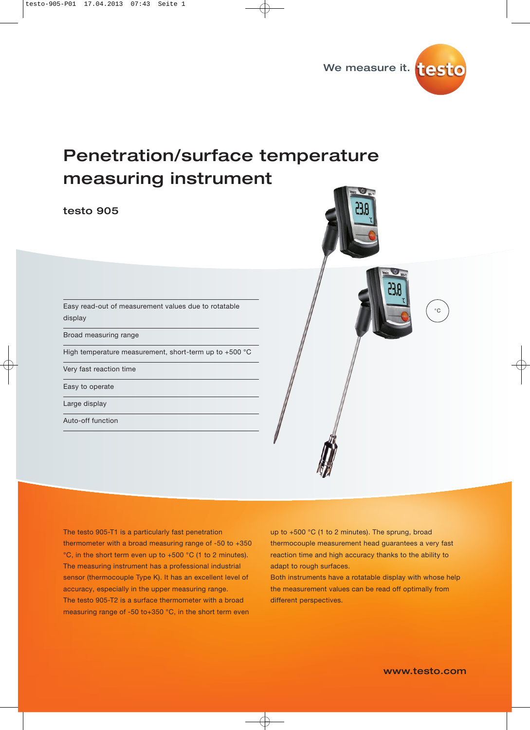

# Penetration/surface temperature measuring instruments

## testo 905 testo 905



Easy read-out of measurement values due to rotatable display

Broad measuring range

High temperature measurement, short-term up to +500 °C

Very fast reaction time

Easy to operate

Large display

Auto-off function

The testo 905-T1 is a particularly fast penetration thermometer with a broad measuring range of -50 to +350 °C, in the short term even up to +500 °C (1 to 2 minutes). The measuring instrument has a professional industrial sensor (thermocouple Type K). It has an excellent level of accuracy, especially in the upper measuring range. The testo 905-T2 is a surface thermometer with a broad measuring range of -50 to+350 °C, in the short term even

up to +500 °C (1 to 2 minutes). The sprung, broad thermocouple measurement head guarantees a very fast reaction time and high accuracy thanks to the ability to adapt to rough surfaces.

Both instruments have a rotatable display with whose help the measurement values can be read off optimally from different perspectives.